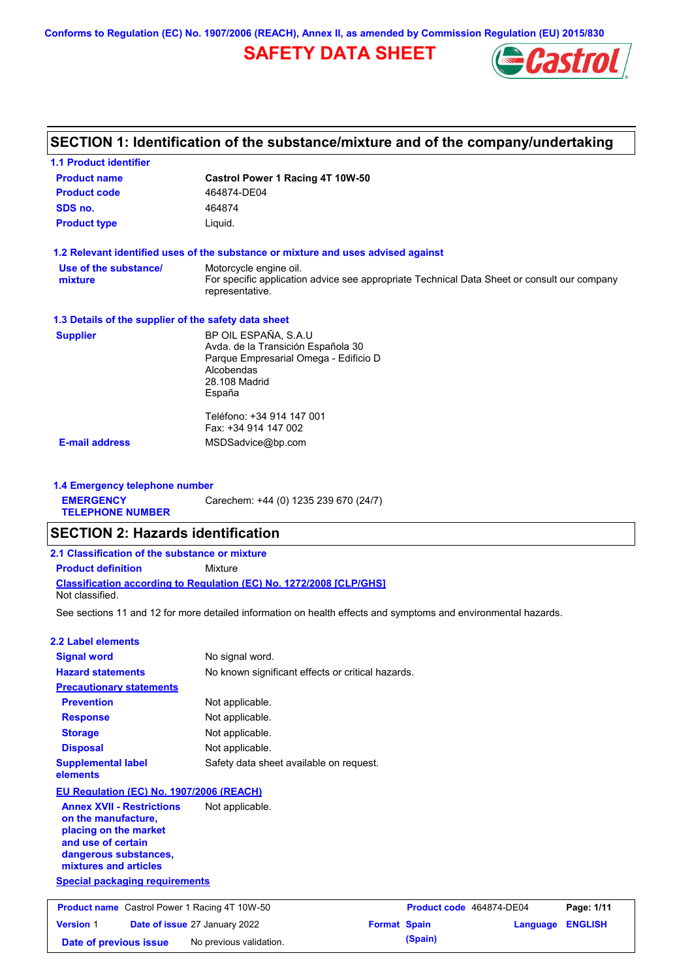**Conforms to Regulation (EC) No. 1907/2006 (REACH), Annex II, as amended by Commission Regulation (EU) 2015/830**

## **SAFETY DATA SHEET**



## **SECTION 1: Identification of the substance/mixture and of the company/undertaking**

| <b>1.1 Product identifier</b>                        |                                                                                                                |
|------------------------------------------------------|----------------------------------------------------------------------------------------------------------------|
| <b>Product name</b>                                  | Castrol Power 1 Racing 4T 10W-50                                                                               |
| <b>Product code</b>                                  | 464874-DE04                                                                                                    |
| SDS no.                                              | 464874                                                                                                         |
| <b>Product type</b>                                  | Liquid.                                                                                                        |
|                                                      | 1.2 Relevant identified uses of the substance or mixture and uses advised against                              |
| Use of the substance/                                | Motorcycle engine oil.                                                                                         |
| mixture                                              | For specific application advice see appropriate Technical Data Sheet or consult our company<br>representative. |
| 1.3 Details of the supplier of the safety data sheet |                                                                                                                |
| <b>Supplier</b>                                      | BP OIL ESPAÑA, S.A.U                                                                                           |
|                                                      | Avda. de la Transición Española 30                                                                             |
|                                                      | Parque Empresarial Omega - Edificio D<br>Alcobendas                                                            |
|                                                      | 28.108 Madrid                                                                                                  |
|                                                      | España                                                                                                         |
|                                                      | Teléfono: +34 914 147 001                                                                                      |
|                                                      | Fax: +34 914 147 002                                                                                           |
| <b>E-mail address</b>                                | MSDSadvice@bp.com                                                                                              |
|                                                      |                                                                                                                |

**1.4 Emergency telephone number EMERGENCY TELEPHONE NUMBER** Carechem: +44 (0) 1235 239 670 (24/7)

### **SECTION 2: Hazards identification**

| 2.1 Classification of the substance or mixture                                                |         |  |  |  |
|-----------------------------------------------------------------------------------------------|---------|--|--|--|
| <b>Product definition</b>                                                                     | Mixture |  |  |  |
| <b>Classification according to Regulation (EC) No. 1272/2008 ICLP/GHS1</b><br>Not classified. |         |  |  |  |

See sections 11 and 12 for more detailed information on health effects and symptoms and environmental hazards.

### **2.2 Label elements**

| <b>Signal word</b>                                                                                                                                       | No signal word.                                   |
|----------------------------------------------------------------------------------------------------------------------------------------------------------|---------------------------------------------------|
| <b>Hazard statements</b>                                                                                                                                 | No known significant effects or critical hazards. |
| <b>Precautionary statements</b>                                                                                                                          |                                                   |
| <b>Prevention</b>                                                                                                                                        | Not applicable.                                   |
| <b>Response</b>                                                                                                                                          | Not applicable.                                   |
| <b>Storage</b>                                                                                                                                           | Not applicable.                                   |
| <b>Disposal</b>                                                                                                                                          | Not applicable.                                   |
| <b>Supplemental label</b><br>elements                                                                                                                    | Safety data sheet available on request.           |
| EU Regulation (EC) No. 1907/2006 (REACH)                                                                                                                 |                                                   |
| <b>Annex XVII - Restrictions</b><br>on the manufacture.<br>placing on the market<br>and use of certain<br>dangerous substances,<br>mixtures and articles | Not applicable.                                   |
| <b>Special packaging requirements</b>                                                                                                                    |                                                   |

| <b>Product name</b> Castrol Power 1 Racing 4T 10W-50 |  | Product code 464874-DE04             |                     | Page: 1/11 |                         |  |
|------------------------------------------------------|--|--------------------------------------|---------------------|------------|-------------------------|--|
| <b>Version 1</b>                                     |  | <b>Date of issue 27 January 2022</b> | <b>Format Spain</b> |            | <b>Language ENGLISH</b> |  |
| Date of previous issue                               |  | No previous validation.              |                     | (Spain)    |                         |  |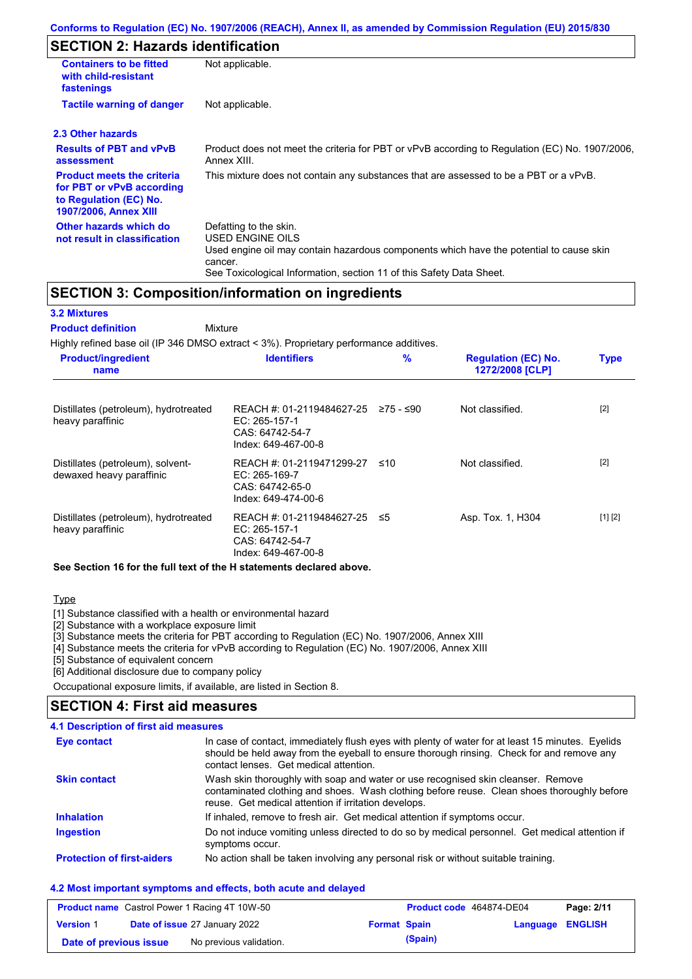## **SECTION 2: Hazards identification**

| <b>Containers to be fitted</b><br>with child-resistant<br>fastenings                                                     | Not applicable.                                                                                                                                                                                                          |  |  |  |
|--------------------------------------------------------------------------------------------------------------------------|--------------------------------------------------------------------------------------------------------------------------------------------------------------------------------------------------------------------------|--|--|--|
| <b>Tactile warning of danger</b>                                                                                         | Not applicable.                                                                                                                                                                                                          |  |  |  |
| 2.3 Other hazards                                                                                                        |                                                                                                                                                                                                                          |  |  |  |
| <b>Results of PBT and vPvB</b><br>assessment                                                                             | Product does not meet the criteria for PBT or vPvB according to Regulation (EC) No. 1907/2006,<br>Annex XIII.                                                                                                            |  |  |  |
| <b>Product meets the criteria</b><br>for PBT or vPvB according<br>to Regulation (EC) No.<br><b>1907/2006, Annex XIII</b> | This mixture does not contain any substances that are assessed to be a PBT or a vPvB.                                                                                                                                    |  |  |  |
| Other hazards which do<br>not result in classification                                                                   | Defatting to the skin.<br>USED ENGINE OILS<br>Used engine oil may contain hazardous components which have the potential to cause skin<br>cancer.<br>See Toxicological Information, section 11 of this Safety Data Sheet. |  |  |  |

### **SECTION 3: Composition/information on ingredients**

**Mixture** 

### **3.2 Mixtures**

### **Product definition**

Highly refined base oil (IP 346 DMSO extract < 3%). Proprietary performance additives.

| <b>Product/ingredient</b><br>name                             | <b>Identifiers</b>                                                                     | $\frac{9}{6}$ | <b>Regulation (EC) No.</b><br>1272/2008 [CLP] | <b>Type</b> |
|---------------------------------------------------------------|----------------------------------------------------------------------------------------|---------------|-----------------------------------------------|-------------|
| Distillates (petroleum), hydrotreated<br>heavy paraffinic     | REACH #: 01-2119484627-25<br>$EC: 265-157-1$<br>CAS: 64742-54-7<br>Index: 649-467-00-8 | ≥75 - ≤90     | Not classified.                               | $[2]$       |
| Distillates (petroleum), solvent-<br>dewaxed heavy paraffinic | REACH #: 01-2119471299-27<br>EC: 265-169-7<br>CAS: 64742-65-0<br>Index: 649-474-00-6   | ≤10           | Not classified.                               | $[2]$       |
| Distillates (petroleum), hydrotreated<br>heavy paraffinic     | REACH #: 01-2119484627-25<br>$EC: 265-157-1$<br>CAS: 64742-54-7<br>Index: 649-467-00-8 | ≤5            | Asp. Tox. 1, H304                             | [1] [2]     |

#### **See Section 16 for the full text of the H statements declared above.**

#### **Type**

[1] Substance classified with a health or environmental hazard

[2] Substance with a workplace exposure limit

[3] Substance meets the criteria for PBT according to Regulation (EC) No. 1907/2006, Annex XIII

[4] Substance meets the criteria for vPvB according to Regulation (EC) No. 1907/2006, Annex XIII

[5] Substance of equivalent concern

[6] Additional disclosure due to company policy

Occupational exposure limits, if available, are listed in Section 8.

### **SECTION 4: First aid measures**

| 4.1 Description of first aid measures |  |
|---------------------------------------|--|
|---------------------------------------|--|

| <b>Eye contact</b>                | In case of contact, immediately flush eyes with plenty of water for at least 15 minutes. Eyelids<br>should be held away from the eyeball to ensure thorough rinsing. Check for and remove any<br>contact lenses. Get medical attention. |
|-----------------------------------|-----------------------------------------------------------------------------------------------------------------------------------------------------------------------------------------------------------------------------------------|
| <b>Skin contact</b>               | Wash skin thoroughly with soap and water or use recognised skin cleanser. Remove<br>contaminated clothing and shoes. Wash clothing before reuse. Clean shoes thoroughly before<br>reuse. Get medical attention if irritation develops.  |
| <b>Inhalation</b>                 | If inhaled, remove to fresh air. Get medical attention if symptoms occur.                                                                                                                                                               |
| <b>Ingestion</b>                  | Do not induce vomiting unless directed to do so by medical personnel. Get medical attention if<br>symptoms occur.                                                                                                                       |
| <b>Protection of first-aiders</b> | No action shall be taken involving any personal risk or without suitable training.                                                                                                                                                      |

### **4.2 Most important symptoms and effects, both acute and delayed**

| <b>Product name</b> Castrol Power 1 Racing 4T 10W-50 |  |                                      | Product code 464874-DE04 |         | Page: 2/11       |  |
|------------------------------------------------------|--|--------------------------------------|--------------------------|---------|------------------|--|
| <b>Version 1</b>                                     |  | <b>Date of issue 27 January 2022</b> | <b>Format Spain</b>      |         | Language ENGLISH |  |
| Date of previous issue                               |  | No previous validation.              |                          | (Spain) |                  |  |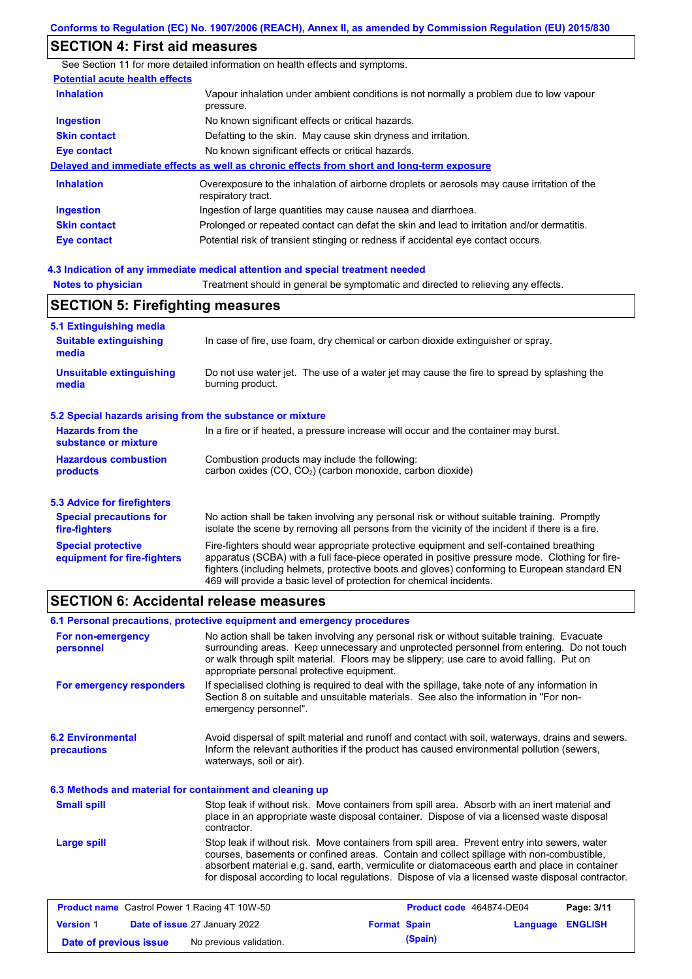## **SECTION 4: First aid measures**

|                                       | See Section 11 for more detailed information on health effects and symptoms.                                      |
|---------------------------------------|-------------------------------------------------------------------------------------------------------------------|
| <b>Potential acute health effects</b> |                                                                                                                   |
| <b>Inhalation</b>                     | Vapour inhalation under ambient conditions is not normally a problem due to low vapour<br>pressure.               |
| <b>Ingestion</b>                      | No known significant effects or critical hazards.                                                                 |
| <b>Skin contact</b>                   | Defatting to the skin. May cause skin dryness and irritation.                                                     |
| <b>Eye contact</b>                    | No known significant effects or critical hazards.                                                                 |
|                                       | Delayed and immediate effects as well as chronic effects from short and long-term exposure                        |
| <b>Inhalation</b>                     | Overexposure to the inhalation of airborne droplets or aerosols may cause irritation of the<br>respiratory tract. |
| <b>Ingestion</b>                      | Ingestion of large quantities may cause nausea and diarrhoea.                                                     |
| <b>Skin contact</b>                   | Prolonged or repeated contact can defat the skin and lead to irritation and/or dermatitis.                        |
| Eye contact                           | Potential risk of transient stinging or redness if accidental eye contact occurs.                                 |
|                                       |                                                                                                                   |
|                                       | <u>A 3 Indication of any immediate medical attention and special treatment needed</u>                             |

### **Hedical attention and specified**

| <b>Notes to physician</b> | Treatment should in general be symptomatic and directed to relieving any effects. |
|---------------------------|-----------------------------------------------------------------------------------|
|---------------------------|-----------------------------------------------------------------------------------|

## **SECTION 5: Firefighting measures**

| 5.1 Extinguishing media                                                                                                    |                                                                                                                                                                                                                                                                                                                                                                   |  |  |  |  |
|----------------------------------------------------------------------------------------------------------------------------|-------------------------------------------------------------------------------------------------------------------------------------------------------------------------------------------------------------------------------------------------------------------------------------------------------------------------------------------------------------------|--|--|--|--|
| <b>Suitable extinguishing</b><br>In case of fire, use foam, dry chemical or carbon dioxide extinguisher or spray.<br>media |                                                                                                                                                                                                                                                                                                                                                                   |  |  |  |  |
| <b>Unsuitable extinguishing</b><br>media                                                                                   | Do not use water jet. The use of a water jet may cause the fire to spread by splashing the<br>burning product.                                                                                                                                                                                                                                                    |  |  |  |  |
| 5.2 Special hazards arising from the substance or mixture                                                                  |                                                                                                                                                                                                                                                                                                                                                                   |  |  |  |  |
| <b>Hazards from the</b><br>substance or mixture                                                                            | In a fire or if heated, a pressure increase will occur and the container may burst.                                                                                                                                                                                                                                                                               |  |  |  |  |
| <b>Hazardous combustion</b><br>products                                                                                    | Combustion products may include the following:<br>carbon oxides $(CO, CO2)$ (carbon monoxide, carbon dioxide)                                                                                                                                                                                                                                                     |  |  |  |  |
| 5.3 Advice for firefighters                                                                                                |                                                                                                                                                                                                                                                                                                                                                                   |  |  |  |  |
| <b>Special precautions for</b><br>fire-fighters                                                                            | No action shall be taken involving any personal risk or without suitable training. Promptly<br>isolate the scene by removing all persons from the vicinity of the incident if there is a fire.                                                                                                                                                                    |  |  |  |  |
| <b>Special protective</b><br>equipment for fire-fighters                                                                   | Fire-fighters should wear appropriate protective equipment and self-contained breathing<br>apparatus (SCBA) with a full face-piece operated in positive pressure mode. Clothing for fire-<br>fighters (including helmets, protective boots and gloves) conforming to European standard EN<br>469 will provide a basic level of protection for chemical incidents. |  |  |  |  |

### **SECTION 6: Accidental release measures**

|                                                                                                                                                                                                                                                                                                                                                                       | 6.1 Personal precautions, protective equipment and emergency procedures                                                                                                                                                                                                                                                                                                                        |  |  |  |  |
|-----------------------------------------------------------------------------------------------------------------------------------------------------------------------------------------------------------------------------------------------------------------------------------------------------------------------------------------------------------------------|------------------------------------------------------------------------------------------------------------------------------------------------------------------------------------------------------------------------------------------------------------------------------------------------------------------------------------------------------------------------------------------------|--|--|--|--|
| No action shall be taken involving any personal risk or without suitable training. Evacuate<br>For non-emergency<br>surrounding areas. Keep unnecessary and unprotected personnel from entering. Do not touch<br>personnel<br>or walk through spilt material. Floors may be slippery; use care to avoid falling. Put on<br>appropriate personal protective equipment. |                                                                                                                                                                                                                                                                                                                                                                                                |  |  |  |  |
| For emergency responders                                                                                                                                                                                                                                                                                                                                              | If specialised clothing is required to deal with the spillage, take note of any information in<br>Section 8 on suitable and unsuitable materials. See also the information in "For non-<br>emergency personnel".                                                                                                                                                                               |  |  |  |  |
| <b>6.2 Environmental</b><br>precautions                                                                                                                                                                                                                                                                                                                               | Avoid dispersal of spilt material and runoff and contact with soil, waterways, drains and sewers.<br>Inform the relevant authorities if the product has caused environmental pollution (sewers,<br>waterways, soil or air).                                                                                                                                                                    |  |  |  |  |
| 6.3 Methods and material for containment and cleaning up                                                                                                                                                                                                                                                                                                              |                                                                                                                                                                                                                                                                                                                                                                                                |  |  |  |  |
| <b>Small spill</b>                                                                                                                                                                                                                                                                                                                                                    | Stop leak if without risk. Move containers from spill area. Absorb with an inert material and<br>place in an appropriate waste disposal container. Dispose of via a licensed waste disposal<br>contractor.                                                                                                                                                                                     |  |  |  |  |
| Large spill                                                                                                                                                                                                                                                                                                                                                           | Stop leak if without risk. Move containers from spill area. Prevent entry into sewers, water<br>courses, basements or confined areas. Contain and collect spillage with non-combustible,<br>absorbent material e.g. sand, earth, vermiculite or diatomaceous earth and place in container<br>for disposal according to local regulations. Dispose of via a licensed waste disposal contractor. |  |  |  |  |
|                                                                                                                                                                                                                                                                                                                                                                       |                                                                                                                                                                                                                                                                                                                                                                                                |  |  |  |  |

|                        | <b>Product name</b> Castrol Power 1 Racing 4T 10W-50 |                     | Product code 464874-DE04 |                         | Page: 3/11 |
|------------------------|------------------------------------------------------|---------------------|--------------------------|-------------------------|------------|
| <b>Version 1</b>       | <b>Date of issue 27 January 2022</b>                 | <b>Format Spain</b> |                          | <b>Language ENGLISH</b> |            |
| Date of previous issue | No previous validation.                              |                     | (Spain)                  |                         |            |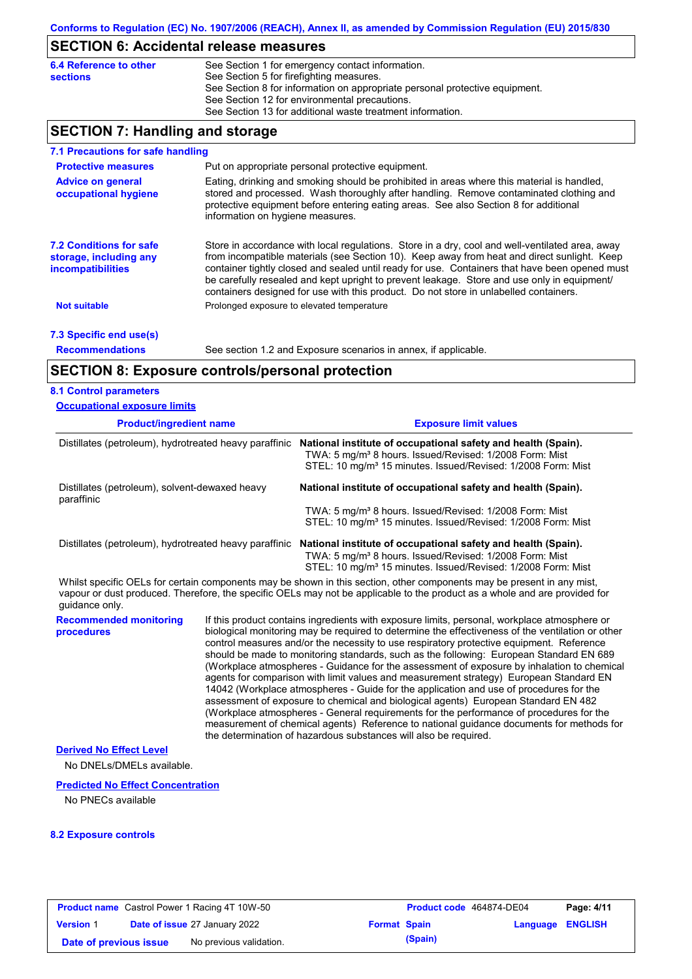# **SECTION 6: Accidental release measures**

| 6.4 Reference to other | See Section 1 for emergency contact information.                            |
|------------------------|-----------------------------------------------------------------------------|
| <b>sections</b>        | See Section 5 for firefighting measures.                                    |
|                        | See Section 8 for information on appropriate personal protective equipment. |
|                        | See Section 12 for environmental precautions.                               |
|                        | See Section 13 for additional waste treatment information.                  |

## **SECTION 7: Handling and storage**

| 7.1 Precautions for safe handling                                                    |                                                                                                                                                                                                                                                                                                                                                                                                                                                                                          |
|--------------------------------------------------------------------------------------|------------------------------------------------------------------------------------------------------------------------------------------------------------------------------------------------------------------------------------------------------------------------------------------------------------------------------------------------------------------------------------------------------------------------------------------------------------------------------------------|
| <b>Protective measures</b>                                                           | Put on appropriate personal protective equipment.                                                                                                                                                                                                                                                                                                                                                                                                                                        |
| <b>Advice on general</b><br>occupational hygiene                                     | Eating, drinking and smoking should be prohibited in areas where this material is handled,<br>stored and processed. Wash thoroughly after handling. Remove contaminated clothing and<br>protective equipment before entering eating areas. See also Section 8 for additional<br>information on hygiene measures.                                                                                                                                                                         |
| <b>7.2 Conditions for safe</b><br>storage, including any<br><i>incompatibilities</i> | Store in accordance with local regulations. Store in a dry, cool and well-ventilated area, away<br>from incompatible materials (see Section 10). Keep away from heat and direct sunlight. Keep<br>container tightly closed and sealed until ready for use. Containers that have been opened must<br>be carefully resealed and kept upright to prevent leakage. Store and use only in equipment/<br>containers designed for use with this product. Do not store in unlabelled containers. |
| <b>Not suitable</b>                                                                  | Prolonged exposure to elevated temperature                                                                                                                                                                                                                                                                                                                                                                                                                                               |
| 7.3 Specific end use(s)                                                              |                                                                                                                                                                                                                                                                                                                                                                                                                                                                                          |
| <b>Recommendations</b>                                                               | See section 1.2 and Exposure scenarios in annex, if applicable.                                                                                                                                                                                                                                                                                                                                                                                                                          |

## **SECTION 8: Exposure controls/personal protection**

### **8.1 Control parameters**

| <b>Occupational exposure limits</b>                          |  |                                                                                                                                                                                                                                                                                                                                                                                                                                                                                                                                                                                                                                                                                                                                                                                                                                                                                                                                                                                                                            |  |  |
|--------------------------------------------------------------|--|----------------------------------------------------------------------------------------------------------------------------------------------------------------------------------------------------------------------------------------------------------------------------------------------------------------------------------------------------------------------------------------------------------------------------------------------------------------------------------------------------------------------------------------------------------------------------------------------------------------------------------------------------------------------------------------------------------------------------------------------------------------------------------------------------------------------------------------------------------------------------------------------------------------------------------------------------------------------------------------------------------------------------|--|--|
| <b>Product/ingredient name</b>                               |  | <b>Exposure limit values</b>                                                                                                                                                                                                                                                                                                                                                                                                                                                                                                                                                                                                                                                                                                                                                                                                                                                                                                                                                                                               |  |  |
| Distillates (petroleum), hydrotreated heavy paraffinic       |  | National institute of occupational safety and health (Spain).<br>TWA: 5 mg/m <sup>3</sup> 8 hours. Issued/Revised: 1/2008 Form: Mist<br>STEL: 10 mg/m <sup>3</sup> 15 minutes. Issued/Revised: 1/2008 Form: Mist                                                                                                                                                                                                                                                                                                                                                                                                                                                                                                                                                                                                                                                                                                                                                                                                           |  |  |
| Distillates (petroleum), solvent-dewaxed heavy<br>paraffinic |  | National institute of occupational safety and health (Spain).                                                                                                                                                                                                                                                                                                                                                                                                                                                                                                                                                                                                                                                                                                                                                                                                                                                                                                                                                              |  |  |
|                                                              |  | TWA: 5 mg/m <sup>3</sup> 8 hours. Issued/Revised: 1/2008 Form: Mist<br>STEL: 10 mg/m <sup>3</sup> 15 minutes. Issued/Revised: 1/2008 Form: Mist                                                                                                                                                                                                                                                                                                                                                                                                                                                                                                                                                                                                                                                                                                                                                                                                                                                                            |  |  |
| Distillates (petroleum), hydrotreated heavy paraffinic       |  | National institute of occupational safety and health (Spain).<br>TWA: 5 mg/m <sup>3</sup> 8 hours. Issued/Revised: 1/2008 Form: Mist<br>STEL: 10 mg/m <sup>3</sup> 15 minutes. Issued/Revised: 1/2008 Form: Mist                                                                                                                                                                                                                                                                                                                                                                                                                                                                                                                                                                                                                                                                                                                                                                                                           |  |  |
| quidance only.                                               |  | Whilst specific OELs for certain components may be shown in this section, other components may be present in any mist,<br>vapour or dust produced. Therefore, the specific OELs may not be applicable to the product as a whole and are provided for                                                                                                                                                                                                                                                                                                                                                                                                                                                                                                                                                                                                                                                                                                                                                                       |  |  |
| <b>Recommended monitoring</b><br>procedures                  |  | If this product contains ingredients with exposure limits, personal, workplace atmosphere or<br>biological monitoring may be required to determine the effectiveness of the ventilation or other<br>control measures and/or the necessity to use respiratory protective equipment. Reference<br>should be made to monitoring standards, such as the following: European Standard EN 689<br>(Workplace atmospheres - Guidance for the assessment of exposure by inhalation to chemical<br>agents for comparison with limit values and measurement strategy) European Standard EN<br>14042 (Workplace atmospheres - Guide for the application and use of procedures for the<br>assessment of exposure to chemical and biological agents) European Standard EN 482<br>(Workplace atmospheres - General requirements for the performance of procedures for the<br>measurement of chemical agents) Reference to national guidance documents for methods for<br>the determination of hazardous substances will also be required. |  |  |
| <b>Derived No Effect Level</b><br>No DNELs/DMELs available.  |  |                                                                                                                                                                                                                                                                                                                                                                                                                                                                                                                                                                                                                                                                                                                                                                                                                                                                                                                                                                                                                            |  |  |
| <b>Predicted No Effect Concentration</b>                     |  |                                                                                                                                                                                                                                                                                                                                                                                                                                                                                                                                                                                                                                                                                                                                                                                                                                                                                                                                                                                                                            |  |  |

No PNECs available

### **8.2 Exposure controls**

|                        | <b>Product name</b> Castrol Power 1 Racing 4T 10W-50 |                     | <b>Product code</b> 464874-DE04 |                         | Page: 4/11 |
|------------------------|------------------------------------------------------|---------------------|---------------------------------|-------------------------|------------|
| <b>Version 1</b>       | Date of issue 27 January 2022                        | <b>Format Spain</b> |                                 | <b>Language ENGLISH</b> |            |
| Date of previous issue | No previous validation.                              |                     | (Spain)                         |                         |            |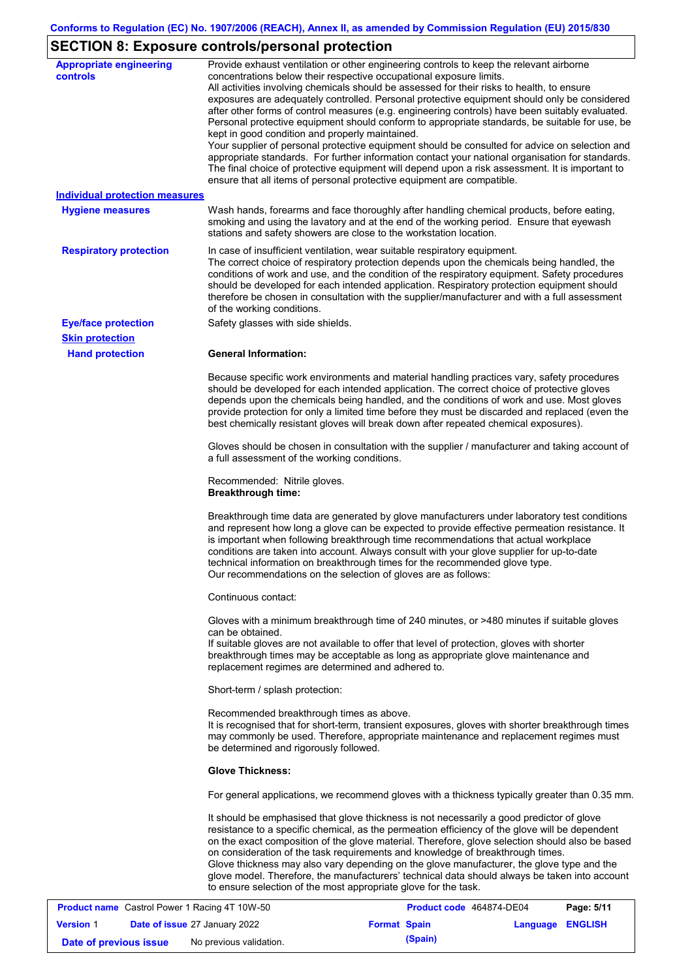## **SECTION 8: Exposure controls/personal protection**

| <b>Appropriate engineering</b><br><b>controls</b><br>Individual protection measures | Provide exhaust ventilation or other engineering controls to keep the relevant airborne<br>concentrations below their respective occupational exposure limits.<br>All activities involving chemicals should be assessed for their risks to health, to ensure<br>exposures are adequately controlled. Personal protective equipment should only be considered<br>after other forms of control measures (e.g. engineering controls) have been suitably evaluated.<br>Personal protective equipment should conform to appropriate standards, be suitable for use, be<br>kept in good condition and properly maintained.<br>Your supplier of personal protective equipment should be consulted for advice on selection and<br>appropriate standards. For further information contact your national organisation for standards.<br>The final choice of protective equipment will depend upon a risk assessment. It is important to<br>ensure that all items of personal protective equipment are compatible. |
|-------------------------------------------------------------------------------------|---------------------------------------------------------------------------------------------------------------------------------------------------------------------------------------------------------------------------------------------------------------------------------------------------------------------------------------------------------------------------------------------------------------------------------------------------------------------------------------------------------------------------------------------------------------------------------------------------------------------------------------------------------------------------------------------------------------------------------------------------------------------------------------------------------------------------------------------------------------------------------------------------------------------------------------------------------------------------------------------------------|
| <b>Hygiene measures</b>                                                             | Wash hands, forearms and face thoroughly after handling chemical products, before eating,<br>smoking and using the lavatory and at the end of the working period. Ensure that eyewash<br>stations and safety showers are close to the workstation location.                                                                                                                                                                                                                                                                                                                                                                                                                                                                                                                                                                                                                                                                                                                                             |
| <b>Respiratory protection</b>                                                       | In case of insufficient ventilation, wear suitable respiratory equipment.<br>The correct choice of respiratory protection depends upon the chemicals being handled, the<br>conditions of work and use, and the condition of the respiratory equipment. Safety procedures<br>should be developed for each intended application. Respiratory protection equipment should<br>therefore be chosen in consultation with the supplier/manufacturer and with a full assessment<br>of the working conditions.                                                                                                                                                                                                                                                                                                                                                                                                                                                                                                   |
| <b>Eye/face protection</b>                                                          | Safety glasses with side shields.                                                                                                                                                                                                                                                                                                                                                                                                                                                                                                                                                                                                                                                                                                                                                                                                                                                                                                                                                                       |
| <b>Skin protection</b>                                                              |                                                                                                                                                                                                                                                                                                                                                                                                                                                                                                                                                                                                                                                                                                                                                                                                                                                                                                                                                                                                         |
| <b>Hand protection</b>                                                              | <b>General Information:</b>                                                                                                                                                                                                                                                                                                                                                                                                                                                                                                                                                                                                                                                                                                                                                                                                                                                                                                                                                                             |
|                                                                                     | Because specific work environments and material handling practices vary, safety procedures<br>should be developed for each intended application. The correct choice of protective gloves<br>depends upon the chemicals being handled, and the conditions of work and use. Most gloves<br>provide protection for only a limited time before they must be discarded and replaced (even the<br>best chemically resistant gloves will break down after repeated chemical exposures).                                                                                                                                                                                                                                                                                                                                                                                                                                                                                                                        |
|                                                                                     | Gloves should be chosen in consultation with the supplier / manufacturer and taking account of<br>a full assessment of the working conditions.                                                                                                                                                                                                                                                                                                                                                                                                                                                                                                                                                                                                                                                                                                                                                                                                                                                          |
|                                                                                     | Recommended: Nitrile gloves.<br><b>Breakthrough time:</b>                                                                                                                                                                                                                                                                                                                                                                                                                                                                                                                                                                                                                                                                                                                                                                                                                                                                                                                                               |
|                                                                                     | Breakthrough time data are generated by glove manufacturers under laboratory test conditions<br>and represent how long a glove can be expected to provide effective permeation resistance. It<br>is important when following breakthrough time recommendations that actual workplace<br>conditions are taken into account. Always consult with your glove supplier for up-to-date<br>technical information on breakthrough times for the recommended glove type.<br>Our recommendations on the selection of gloves are as follows:                                                                                                                                                                                                                                                                                                                                                                                                                                                                      |
|                                                                                     | Continuous contact:                                                                                                                                                                                                                                                                                                                                                                                                                                                                                                                                                                                                                                                                                                                                                                                                                                                                                                                                                                                     |
|                                                                                     | Gloves with a minimum breakthrough time of 240 minutes, or >480 minutes if suitable gloves<br>can be obtained.<br>If suitable gloves are not available to offer that level of protection, gloves with shorter<br>breakthrough times may be acceptable as long as appropriate glove maintenance and<br>replacement regimes are determined and adhered to.                                                                                                                                                                                                                                                                                                                                                                                                                                                                                                                                                                                                                                                |
|                                                                                     | Short-term / splash protection:                                                                                                                                                                                                                                                                                                                                                                                                                                                                                                                                                                                                                                                                                                                                                                                                                                                                                                                                                                         |
|                                                                                     | Recommended breakthrough times as above.<br>It is recognised that for short-term, transient exposures, gloves with shorter breakthrough times<br>may commonly be used. Therefore, appropriate maintenance and replacement regimes must<br>be determined and rigorously followed.                                                                                                                                                                                                                                                                                                                                                                                                                                                                                                                                                                                                                                                                                                                        |
|                                                                                     | <b>Glove Thickness:</b>                                                                                                                                                                                                                                                                                                                                                                                                                                                                                                                                                                                                                                                                                                                                                                                                                                                                                                                                                                                 |
|                                                                                     | For general applications, we recommend gloves with a thickness typically greater than 0.35 mm.                                                                                                                                                                                                                                                                                                                                                                                                                                                                                                                                                                                                                                                                                                                                                                                                                                                                                                          |
|                                                                                     | It should be emphasised that glove thickness is not necessarily a good predictor of glove<br>resistance to a specific chemical, as the permeation efficiency of the glove will be dependent<br>on the exact composition of the glove material. Therefore, glove selection should also be based<br>on consideration of the task requirements and knowledge of breakthrough times.<br>Glove thickness may also vary depending on the glove manufacturer, the glove type and the<br>glove model. Therefore, the manufacturers' technical data should always be taken into account<br>to ensure selection of the most appropriate glove for the task.                                                                                                                                                                                                                                                                                                                                                       |
| <b>Product name</b> Castrol Power 1 Racing 4T 10W-50                                | Page: 5/11<br>Product code 464874-DE04                                                                                                                                                                                                                                                                                                                                                                                                                                                                                                                                                                                                                                                                                                                                                                                                                                                                                                                                                                  |

|                        | <b>Product name</b> Castrol Power 1 Racing 4T 10W-50 |                     | Product code 464874-DE04 |                  | Page: 5/11 |
|------------------------|------------------------------------------------------|---------------------|--------------------------|------------------|------------|
| <b>Version 1</b>       | <b>Date of issue 27 January 2022</b>                 | <b>Format Spain</b> |                          | Language ENGLISH |            |
| Date of previous issue | No previous validation.                              |                     | (Spain)                  |                  |            |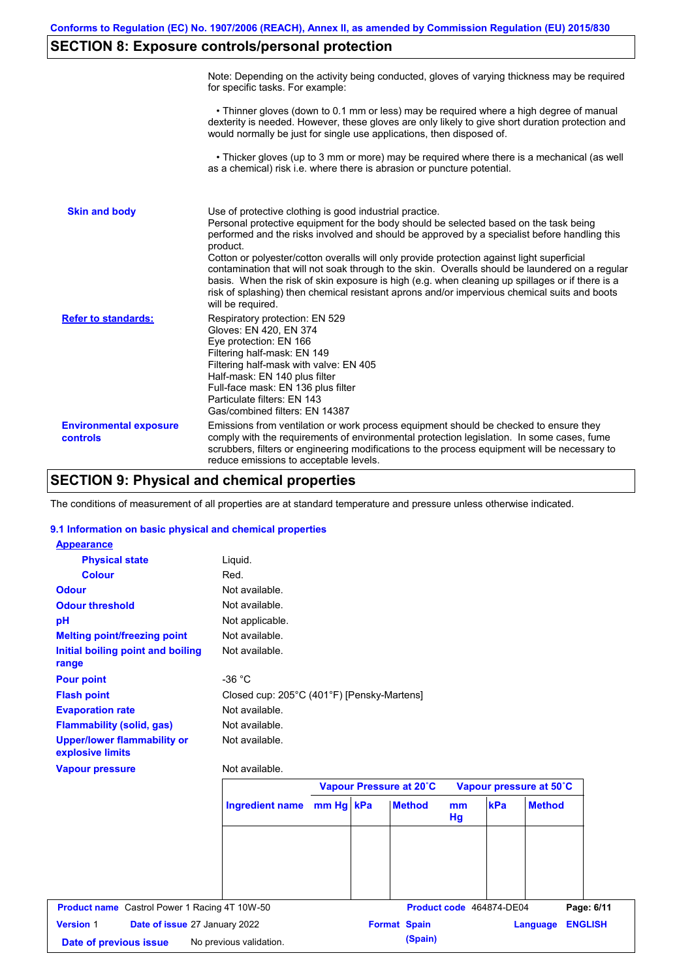## **SECTION 8: Exposure controls/personal protection**

|                                           | Note: Depending on the activity being conducted, gloves of varying thickness may be required<br>for specific tasks. For example:                                                                                                                                                                                                                                                                                                                                                                                                                                                                                                                                                      |
|-------------------------------------------|---------------------------------------------------------------------------------------------------------------------------------------------------------------------------------------------------------------------------------------------------------------------------------------------------------------------------------------------------------------------------------------------------------------------------------------------------------------------------------------------------------------------------------------------------------------------------------------------------------------------------------------------------------------------------------------|
|                                           | • Thinner gloves (down to 0.1 mm or less) may be required where a high degree of manual<br>dexterity is needed. However, these gloves are only likely to give short duration protection and<br>would normally be just for single use applications, then disposed of.                                                                                                                                                                                                                                                                                                                                                                                                                  |
|                                           | • Thicker gloves (up to 3 mm or more) may be required where there is a mechanical (as well<br>as a chemical) risk i.e. where there is abrasion or puncture potential.                                                                                                                                                                                                                                                                                                                                                                                                                                                                                                                 |
| <b>Skin and body</b>                      | Use of protective clothing is good industrial practice.<br>Personal protective equipment for the body should be selected based on the task being<br>performed and the risks involved and should be approved by a specialist before handling this<br>product.<br>Cotton or polyester/cotton overalls will only provide protection against light superficial<br>contamination that will not soak through to the skin. Overalls should be laundered on a regular<br>basis. When the risk of skin exposure is high (e.g. when cleaning up spillages or if there is a<br>risk of splashing) then chemical resistant aprons and/or impervious chemical suits and boots<br>will be required. |
| <b>Refer to standards:</b>                | Respiratory protection: EN 529<br>Gloves: EN 420, EN 374<br>Eye protection: EN 166<br>Filtering half-mask: EN 149<br>Filtering half-mask with valve: EN 405<br>Half-mask: EN 140 plus filter<br>Full-face mask: EN 136 plus filter<br>Particulate filters: EN 143<br>Gas/combined filters: EN 14387                                                                                                                                                                                                                                                                                                                                                                                   |
| <b>Environmental exposure</b><br>controls | Emissions from ventilation or work process equipment should be checked to ensure they<br>comply with the requirements of environmental protection legislation. In some cases, fume<br>scrubbers, filters or engineering modifications to the process equipment will be necessary to<br>reduce emissions to acceptable levels.                                                                                                                                                                                                                                                                                                                                                         |

### **SECTION 9: Physical and chemical properties**

The conditions of measurement of all properties are at standard temperature and pressure unless otherwise indicated.

### **9.1 Information on basic physical and chemical properties**

| <b>Appearance</b>                                      |                                            |  |                         |          |                          |                         |                              |
|--------------------------------------------------------|--------------------------------------------|--|-------------------------|----------|--------------------------|-------------------------|------------------------------|
| <b>Physical state</b>                                  | Liquid.                                    |  |                         |          |                          |                         |                              |
| <b>Colour</b>                                          | Red.                                       |  |                         |          |                          |                         |                              |
| <b>Odour</b>                                           | Not available.                             |  |                         |          |                          |                         |                              |
| <b>Odour threshold</b>                                 | Not available.                             |  |                         |          |                          |                         |                              |
| pH                                                     | Not applicable.                            |  |                         |          |                          |                         |                              |
| <b>Melting point/freezing point</b>                    | Not available.                             |  |                         |          |                          |                         |                              |
| <b>Initial boiling point and boiling</b><br>range      | Not available.                             |  |                         |          |                          |                         |                              |
| <b>Pour point</b>                                      | $-36 °C$                                   |  |                         |          |                          |                         |                              |
| <b>Flash point</b>                                     | Closed cup: 205°C (401°F) [Pensky-Martens] |  |                         |          |                          |                         |                              |
| <b>Evaporation rate</b>                                | Not available.                             |  |                         |          |                          |                         |                              |
| <b>Flammability (solid, gas)</b>                       | Not available.                             |  |                         |          |                          |                         |                              |
| <b>Upper/lower flammability or</b><br>explosive limits | Not available.                             |  |                         |          |                          |                         |                              |
|                                                        | Not available.                             |  |                         |          |                          |                         |                              |
| <b>Vapour pressure</b>                                 |                                            |  |                         |          |                          |                         |                              |
|                                                        |                                            |  | Vapour Pressure at 20°C |          |                          | Vapour pressure at 50°C |                              |
|                                                        | Ingredient name mm Hg kPa                  |  | <b>Method</b>           | mm<br>Hg | kPa                      | <b>Method</b>           |                              |
|                                                        |                                            |  |                         |          |                          |                         |                              |
|                                                        |                                            |  |                         |          |                          |                         |                              |
|                                                        |                                            |  |                         |          |                          |                         |                              |
| <b>Product name</b> Castrol Power 1 Racing 4T 10W-50   |                                            |  |                         |          | Product code 464874-DE04 |                         |                              |
| <b>Version 1</b><br>Date of issue 27 January 2022      |                                            |  | <b>Format Spain</b>     |          |                          | Language                | Page: 6/11<br><b>ENGLISH</b> |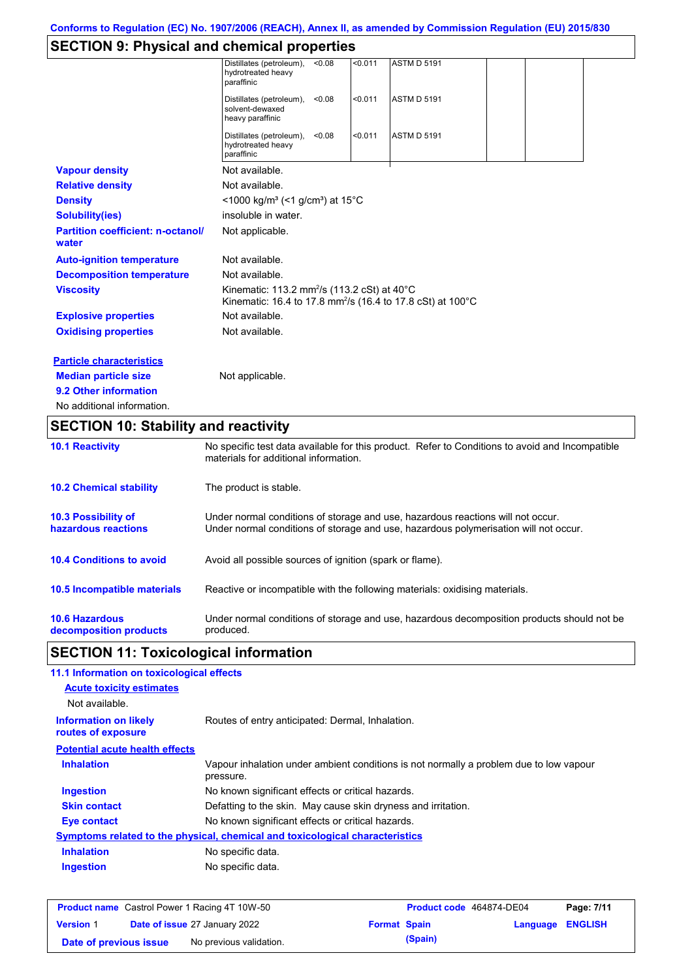# **SECTION 9: Physical and chemical properties**

| <b>10.2 Chemical stability</b>                    | The product is stable.                                                                                                                   |
|---------------------------------------------------|------------------------------------------------------------------------------------------------------------------------------------------|
| <b>10.1 Reactivity</b>                            | No specific test data available for this product. Refer to Conditions to avoid and Incompatible<br>materials for additional information. |
| <b>SECTION 10: Stability and reactivity</b>       |                                                                                                                                          |
| No additional information.                        |                                                                                                                                          |
| 9.2 Other information                             |                                                                                                                                          |
| <b>Median particle size</b>                       | Not applicable.                                                                                                                          |
| <b>Particle characteristics</b>                   |                                                                                                                                          |
| <b>Oxidising properties</b>                       | Not available.                                                                                                                           |
| <b>Explosive properties</b>                       | Not available.                                                                                                                           |
| <b>Viscosity</b>                                  | Kinematic: 113.2 mm <sup>2</sup> /s (113.2 cSt) at 40°C<br>Kinematic: 16.4 to 17.8 mm <sup>2</sup> /s (16.4 to 17.8 cSt) at 100°C        |
| <b>Decomposition temperature</b>                  | Not available.                                                                                                                           |
| <b>Auto-ignition temperature</b>                  | Not available.                                                                                                                           |
| <b>Partition coefficient: n-octanol/</b><br>water | Not applicable.                                                                                                                          |
| <b>Solubility(ies)</b>                            | insoluble in water.                                                                                                                      |
| <b>Density</b>                                    | <1000 kg/m <sup>3</sup> (<1 g/cm <sup>3</sup> ) at 15 <sup>°</sup> C                                                                     |
| <b>Relative density</b>                           | Not available.                                                                                                                           |
| <b>Vapour density</b>                             | Not available.                                                                                                                           |
|                                                   | Distillates (petroleum),<br>< 0.011<br><b>ASTM D 5191</b><br>< 0.08<br>hydrotreated heavy<br>paraffinic                                  |
|                                                   | < 0.011<br><b>ASTM D 5191</b><br>Distillates (petroleum),<br>< 0.08<br>solvent-dewaxed<br>heavy paraffinic                               |
|                                                   | Distillates (petroleum),<br>< 0.011<br><b>ASTM D 5191</b><br>< 0.08<br>hydrotreated heavy<br>paraffinic                                  |

| <b>10.3 Possibility of</b>      | Under normal conditions of storage and use, hazardous reactions will not occur.            |
|---------------------------------|--------------------------------------------------------------------------------------------|
| hazardous reactions             | Under normal conditions of storage and use, hazardous polymerisation will not occur.       |
| <b>10.4 Conditions to avoid</b> | Avoid all possible sources of ignition (spark or flame).                                   |
| 10.5 Incompatible materials     | Reactive or incompatible with the following materials: oxidising materials.                |
| <b>10.6 Hazardous</b>           | Under normal conditions of storage and use, hazardous decomposition products should not be |
| decomposition products          | produced.                                                                                  |

# **SECTION 11: Toxicological information**

| 11.1 Information on toxicological effects          |                                                                                                     |
|----------------------------------------------------|-----------------------------------------------------------------------------------------------------|
| <b>Acute toxicity estimates</b>                    |                                                                                                     |
| Not available.                                     |                                                                                                     |
| <b>Information on likely</b><br>routes of exposure | Routes of entry anticipated: Dermal, Inhalation.                                                    |
| <b>Potential acute health effects</b>              |                                                                                                     |
| <b>Inhalation</b>                                  | Vapour inhalation under ambient conditions is not normally a problem due to low vapour<br>pressure. |
| <b>Ingestion</b>                                   | No known significant effects or critical hazards.                                                   |
| <b>Skin contact</b>                                | Defatting to the skin. May cause skin dryness and irritation.                                       |
| Eye contact                                        | No known significant effects or critical hazards.                                                   |
|                                                    | Symptoms related to the physical, chemical and toxicological characteristics                        |
| <b>Inhalation</b>                                  | No specific data.                                                                                   |
| <b>Ingestion</b>                                   | No specific data.                                                                                   |
|                                                    |                                                                                                     |

| <b>Product name</b> Castrol Power 1 Racing 4T 10W-50 |  |                                      | <b>Product code</b> 464874-DE04 |         | Page: 7/11              |  |
|------------------------------------------------------|--|--------------------------------------|---------------------------------|---------|-------------------------|--|
| <b>Version 1</b>                                     |  | <b>Date of issue 27 January 2022</b> | <b>Format Spain</b>             |         | <b>Language ENGLISH</b> |  |
| Date of previous issue                               |  | No previous validation.              |                                 | (Spain) |                         |  |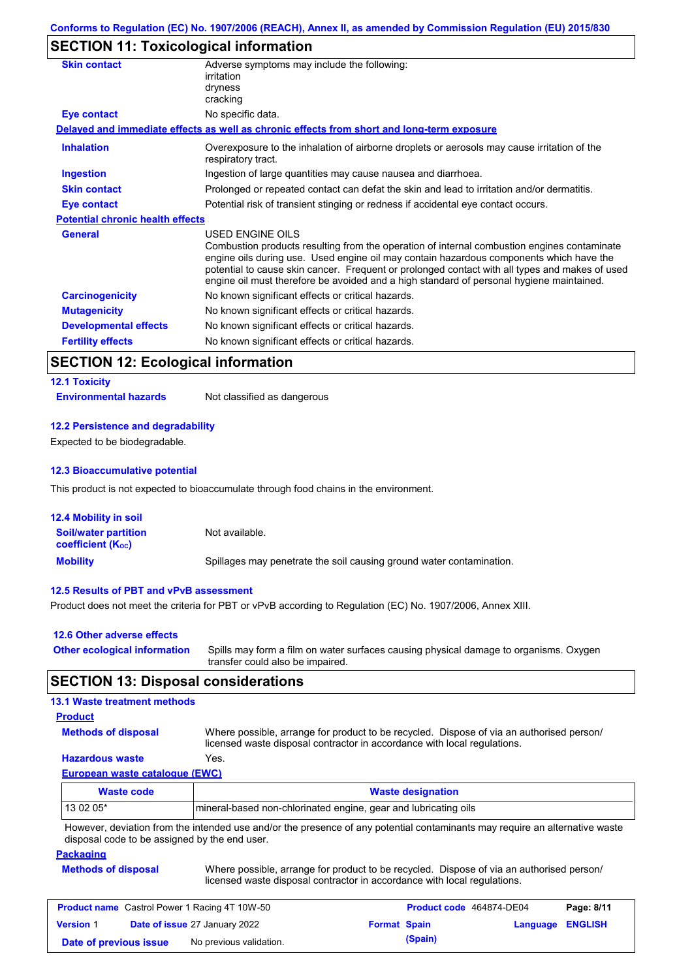## **SECTION 11: Toxicological information**

| <b>Skin contact</b>                     | Adverse symptoms may include the following:<br>irritation<br>dryness<br>cracking                                                                                                                                                                                                                                                                                                                                |
|-----------------------------------------|-----------------------------------------------------------------------------------------------------------------------------------------------------------------------------------------------------------------------------------------------------------------------------------------------------------------------------------------------------------------------------------------------------------------|
| Eye contact                             | No specific data.                                                                                                                                                                                                                                                                                                                                                                                               |
|                                         | Delayed and immediate effects as well as chronic effects from short and long-term exposure                                                                                                                                                                                                                                                                                                                      |
| <b>Inhalation</b>                       | Overexposure to the inhalation of airborne droplets or aerosols may cause irritation of the<br>respiratory tract.                                                                                                                                                                                                                                                                                               |
| <b>Ingestion</b>                        | Ingestion of large quantities may cause nausea and diarrhoea.                                                                                                                                                                                                                                                                                                                                                   |
| <b>Skin contact</b>                     | Prolonged or repeated contact can defat the skin and lead to irritation and/or dermatitis.                                                                                                                                                                                                                                                                                                                      |
| Eye contact                             | Potential risk of transient stinging or redness if accidental eye contact occurs.                                                                                                                                                                                                                                                                                                                               |
| <b>Potential chronic health effects</b> |                                                                                                                                                                                                                                                                                                                                                                                                                 |
| <b>General</b>                          | <b>USED ENGINE OILS</b><br>Combustion products resulting from the operation of internal combustion engines contaminate<br>engine oils during use. Used engine oil may contain hazardous components which have the<br>potential to cause skin cancer. Frequent or prolonged contact with all types and makes of used<br>engine oil must therefore be avoided and a high standard of personal hygiene maintained. |
| <b>Carcinogenicity</b>                  | No known significant effects or critical hazards.                                                                                                                                                                                                                                                                                                                                                               |
| <b>Mutagenicity</b>                     | No known significant effects or critical hazards.                                                                                                                                                                                                                                                                                                                                                               |
| <b>Developmental effects</b>            | No known significant effects or critical hazards.                                                                                                                                                                                                                                                                                                                                                               |
| <b>Fertility effects</b>                | No known significant effects or critical hazards.                                                                                                                                                                                                                                                                                                                                                               |

## **SECTION 12: Ecological information**

## **12.1 Toxicity**

**Environmental hazards** Not classified as dangerous

### **12.2 Persistence and degradability**

Expected to be biodegradable.

### **12.3 Bioaccumulative potential**

This product is not expected to bioaccumulate through food chains in the environment.

| <b>12.4 Mobility in soil</b>                            |                                                                      |
|---------------------------------------------------------|----------------------------------------------------------------------|
| <b>Soil/water partition</b><br><b>coefficient (Koc)</b> | Not available.                                                       |
| <b>Mobility</b>                                         | Spillages may penetrate the soil causing ground water contamination. |

### **12.5 Results of PBT and vPvB assessment**

Product does not meet the criteria for PBT or vPvB according to Regulation (EC) No. 1907/2006, Annex XIII.

| 12.6 Other adverse effects          |                                                                                                                           |
|-------------------------------------|---------------------------------------------------------------------------------------------------------------------------|
| <b>Other ecological information</b> | Spills may form a film on water surfaces causing physical damage to organisms. Oxygen<br>transfer could also be impaired. |

### **SECTION 13: Disposal considerations**

### **13.1 Waste treatment methods**

### **Product**

**Methods of disposal**

Where possible, arrange for product to be recycled. Dispose of via an authorised person/ licensed waste disposal contractor in accordance with local regulations.

### **Hazardous waste** Yes.

**European waste catalogue (EWC)**

| <b>Waste code</b>                                                                                                           | <b>Waste designation</b>                                        |  |  |
|-----------------------------------------------------------------------------------------------------------------------------|-----------------------------------------------------------------|--|--|
| $130205*$                                                                                                                   | mineral-based non-chlorinated engine, gear and lubricating oils |  |  |
| However, deviation from the intended use and/or the presence of any potential contaminants may require an alternative waste |                                                                 |  |  |

However, deviation from the intended use and/or the presence of any potential contaminants may require an alternative waste disposal code to be assigned by the end user.

#### **Packaging**

**Methods of disposal** Where possible, arrange for product to be recycled. Dispose of via an authorised person/ licensed waste disposal contractor in accordance with local regulations.

| <b>Product name</b> Castrol Power 1 Racing 4T 10W-50 |  |                                      | Product code 464874-DE04 |         | Page: 8/11              |  |
|------------------------------------------------------|--|--------------------------------------|--------------------------|---------|-------------------------|--|
| <b>Version 1</b>                                     |  | <b>Date of issue 27 January 2022</b> | <b>Format Spain</b>      |         | <b>Language ENGLISH</b> |  |
| Date of previous issue                               |  | No previous validation.              |                          | (Spain) |                         |  |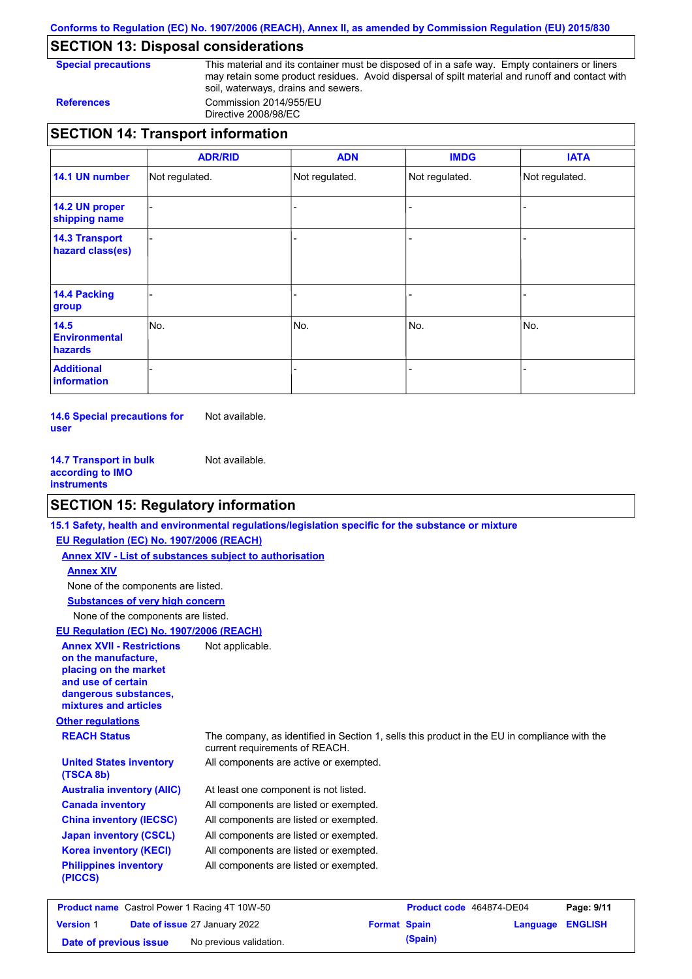**Conforms to Regulation (EC) No. 1907/2006 (REACH), Annex II, as amended by Commission Regulation (EU) 2015/830**

## **SECTION 13: Disposal considerations**

**Special precautions** This material and its container must be disposed of in a safe way. Empty containers or liners may retain some product residues. Avoid dispersal of spilt material and runoff and contact with soil, waterways, drains and sewers. **References** Commission 2014/955/EU

Directive 2008/98/EC

|                                           | <b>ADR/RID</b> | <b>ADN</b>     | <b>IMDG</b>    | <b>IATA</b>    |
|-------------------------------------------|----------------|----------------|----------------|----------------|
| 14.1 UN number                            | Not regulated. | Not regulated. | Not regulated. | Not regulated. |
| 14.2 UN proper<br>shipping name           |                |                |                |                |
| <b>14.3 Transport</b><br>hazard class(es) |                |                |                |                |
| <b>14.4 Packing</b><br>group              |                |                |                |                |
| 14.5<br><b>Environmental</b><br>hazards   | INo.           | No.            | No.            | No.            |
| <b>Additional</b><br>information          |                |                |                |                |

**14.6 Special precautions for user** Not available.

**14.7 Transport in bulk according to IMO instruments** Not available.

## **SECTION 15: Regulatory information**

|                                                                                                                                                          | 15.1 Safety, health and environmental regulations/legislation specific for the substance or mixture                            |
|----------------------------------------------------------------------------------------------------------------------------------------------------------|--------------------------------------------------------------------------------------------------------------------------------|
| EU Regulation (EC) No. 1907/2006 (REACH)                                                                                                                 |                                                                                                                                |
| <b>Annex XIV - List of substances subject to authorisation</b>                                                                                           |                                                                                                                                |
| <b>Annex XIV</b>                                                                                                                                         |                                                                                                                                |
| None of the components are listed.                                                                                                                       |                                                                                                                                |
| <b>Substances of very high concern</b>                                                                                                                   |                                                                                                                                |
| None of the components are listed.                                                                                                                       |                                                                                                                                |
| <b>EU Regulation (EC) No. 1907/2006 (REACH)</b>                                                                                                          |                                                                                                                                |
| <b>Annex XVII - Restrictions</b><br>on the manufacture.<br>placing on the market<br>and use of certain<br>dangerous substances,<br>mixtures and articles | Not applicable.                                                                                                                |
| <b>Other regulations</b>                                                                                                                                 |                                                                                                                                |
| <b>REACH Status</b>                                                                                                                                      | The company, as identified in Section 1, sells this product in the EU in compliance with the<br>current requirements of REACH. |
| <b>United States inventory</b><br>(TSCA 8b)                                                                                                              | All components are active or exempted.                                                                                         |
| <b>Australia inventory (AIIC)</b>                                                                                                                        | At least one component is not listed.                                                                                          |
| <b>Canada inventory</b>                                                                                                                                  | All components are listed or exempted.                                                                                         |
| <b>China inventory (IECSC)</b>                                                                                                                           | All components are listed or exempted.                                                                                         |
| <b>Japan inventory (CSCL)</b>                                                                                                                            | All components are listed or exempted.                                                                                         |
| <b>Korea inventory (KECI)</b>                                                                                                                            | All components are listed or exempted.                                                                                         |
| <b>Philippines inventory</b><br>(PICCS)                                                                                                                  | All components are listed or exempted.                                                                                         |
|                                                                                                                                                          |                                                                                                                                |

| <b>Product name</b> Castrol Power 1 Racing 4T 10W-50 |  |                                      | Product code 464874-DE04 |         | Page: 9/11       |  |
|------------------------------------------------------|--|--------------------------------------|--------------------------|---------|------------------|--|
| <b>Version 1</b>                                     |  | <b>Date of issue 27 January 2022</b> | <b>Format Spain</b>      |         | Language ENGLISH |  |
| Date of previous issue                               |  | No previous validation.              |                          | (Spain) |                  |  |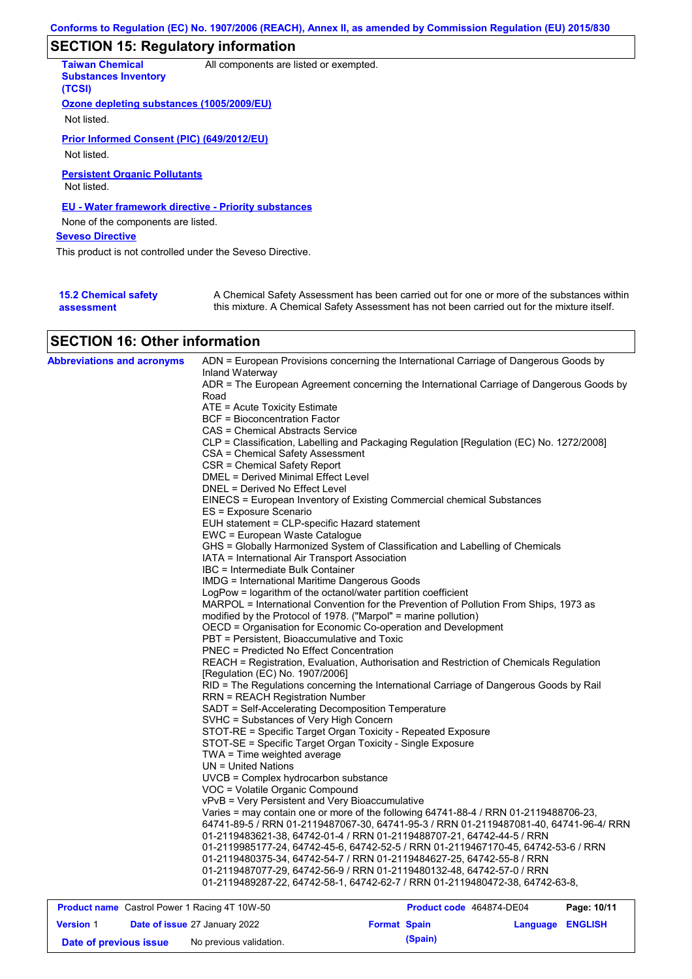## **SECTION 15: Regulatory information**

| <b>Taiwan Chemical</b><br><b>Substances Inventory</b><br>(TCSI) | All components are listed or exempted.                                                                                                                                                    |
|-----------------------------------------------------------------|-------------------------------------------------------------------------------------------------------------------------------------------------------------------------------------------|
| Ozone depleting substances (1005/2009/EU)                       |                                                                                                                                                                                           |
| Not listed.                                                     |                                                                                                                                                                                           |
| Prior Informed Consent (PIC) (649/2012/EU)                      |                                                                                                                                                                                           |
| Not listed.                                                     |                                                                                                                                                                                           |
| <b>Persistent Organic Pollutants</b><br>Not listed.             |                                                                                                                                                                                           |
| <b>EU - Water framework directive - Priority substances</b>     |                                                                                                                                                                                           |
| None of the components are listed.                              |                                                                                                                                                                                           |
| <b>Seveso Directive</b>                                         |                                                                                                                                                                                           |
| This product is not controlled under the Seveso Directive.      |                                                                                                                                                                                           |
|                                                                 |                                                                                                                                                                                           |
| <b>15.2 Chemical safety</b><br>assessment                       | A Chemical Safety Assessment has been carried out for one or more of the substances within<br>this mixture. A Chemical Safety Assessment has not been carried out for the mixture itself. |

# **SECTION 16: Other information**

| <b>Abbreviations and acronyms</b> | ADN = European Provisions concerning the International Carriage of Dangerous Goods by                                            |  |  |  |  |  |
|-----------------------------------|----------------------------------------------------------------------------------------------------------------------------------|--|--|--|--|--|
|                                   | Inland Waterway                                                                                                                  |  |  |  |  |  |
|                                   | ADR = The European Agreement concerning the International Carriage of Dangerous Goods by                                         |  |  |  |  |  |
|                                   | Road<br>ATE = Acute Toxicity Estimate                                                                                            |  |  |  |  |  |
|                                   | BCF = Bioconcentration Factor                                                                                                    |  |  |  |  |  |
|                                   | CAS = Chemical Abstracts Service                                                                                                 |  |  |  |  |  |
|                                   | CLP = Classification, Labelling and Packaging Regulation [Regulation (EC) No. 1272/2008]                                         |  |  |  |  |  |
|                                   | CSA = Chemical Safety Assessment                                                                                                 |  |  |  |  |  |
|                                   | CSR = Chemical Safety Report                                                                                                     |  |  |  |  |  |
|                                   | <b>DMEL = Derived Minimal Effect Level</b>                                                                                       |  |  |  |  |  |
|                                   | DNEL = Derived No Effect Level                                                                                                   |  |  |  |  |  |
|                                   | EINECS = European Inventory of Existing Commercial chemical Substances                                                           |  |  |  |  |  |
|                                   | ES = Exposure Scenario                                                                                                           |  |  |  |  |  |
|                                   | EUH statement = CLP-specific Hazard statement                                                                                    |  |  |  |  |  |
|                                   | EWC = European Waste Catalogue                                                                                                   |  |  |  |  |  |
|                                   | GHS = Globally Harmonized System of Classification and Labelling of Chemicals                                                    |  |  |  |  |  |
|                                   | IATA = International Air Transport Association                                                                                   |  |  |  |  |  |
|                                   | IBC = Intermediate Bulk Container                                                                                                |  |  |  |  |  |
|                                   | <b>IMDG = International Maritime Dangerous Goods</b>                                                                             |  |  |  |  |  |
|                                   | LogPow = logarithm of the octanol/water partition coefficient                                                                    |  |  |  |  |  |
|                                   | MARPOL = International Convention for the Prevention of Pollution From Ships, 1973 as                                            |  |  |  |  |  |
|                                   | modified by the Protocol of 1978. ("Marpol" = marine pollution)                                                                  |  |  |  |  |  |
|                                   | OECD = Organisation for Economic Co-operation and Development                                                                    |  |  |  |  |  |
|                                   | PBT = Persistent, Bioaccumulative and Toxic                                                                                      |  |  |  |  |  |
|                                   | PNEC = Predicted No Effect Concentration                                                                                         |  |  |  |  |  |
|                                   | REACH = Registration, Evaluation, Authorisation and Restriction of Chemicals Regulation                                          |  |  |  |  |  |
|                                   | [Regulation (EC) No. 1907/2006]                                                                                                  |  |  |  |  |  |
|                                   | RID = The Regulations concerning the International Carriage of Dangerous Goods by Rail<br><b>RRN = REACH Registration Number</b> |  |  |  |  |  |
|                                   | SADT = Self-Accelerating Decomposition Temperature                                                                               |  |  |  |  |  |
|                                   | SVHC = Substances of Very High Concern                                                                                           |  |  |  |  |  |
|                                   | STOT-RE = Specific Target Organ Toxicity - Repeated Exposure                                                                     |  |  |  |  |  |
|                                   | STOT-SE = Specific Target Organ Toxicity - Single Exposure                                                                       |  |  |  |  |  |
|                                   | $TWA = Time$ weighted average                                                                                                    |  |  |  |  |  |
|                                   | UN = United Nations                                                                                                              |  |  |  |  |  |
|                                   | UVCB = Complex hydrocarbon substance                                                                                             |  |  |  |  |  |
|                                   | VOC = Volatile Organic Compound                                                                                                  |  |  |  |  |  |
|                                   | vPvB = Very Persistent and Very Bioaccumulative                                                                                  |  |  |  |  |  |
|                                   | Varies = may contain one or more of the following 64741-88-4 / RRN 01-2119488706-23,                                             |  |  |  |  |  |
|                                   | 64741-89-5 / RRN 01-2119487067-30, 64741-95-3 / RRN 01-2119487081-40, 64741-96-4/ RRN                                            |  |  |  |  |  |
|                                   | 01-2119483621-38, 64742-01-4 / RRN 01-2119488707-21, 64742-44-5 / RRN                                                            |  |  |  |  |  |
|                                   | 01-2119985177-24, 64742-45-6, 64742-52-5 / RRN 01-2119467170-45, 64742-53-6 / RRN                                                |  |  |  |  |  |
|                                   | 01-2119480375-34, 64742-54-7 / RRN 01-2119484627-25, 64742-55-8 / RRN                                                            |  |  |  |  |  |
|                                   | 01-2119487077-29, 64742-56-9 / RRN 01-2119480132-48, 64742-57-0 / RRN                                                            |  |  |  |  |  |
|                                   | 01-2119489287-22, 64742-58-1, 64742-62-7 / RRN 01-2119480472-38, 64742-63-8,                                                     |  |  |  |  |  |

| <b>Product name</b> Castrol Power 1 Racing 4T 10W-50 |  |                                      | Product code 464874-DE04 | Page: 10/11 |                         |  |
|------------------------------------------------------|--|--------------------------------------|--------------------------|-------------|-------------------------|--|
| <b>Version 1</b>                                     |  | <b>Date of issue 27 January 2022</b> | <b>Format Spain</b>      |             | <b>Language ENGLISH</b> |  |
| Date of previous issue                               |  | No previous validation.              |                          | (Spain)     |                         |  |